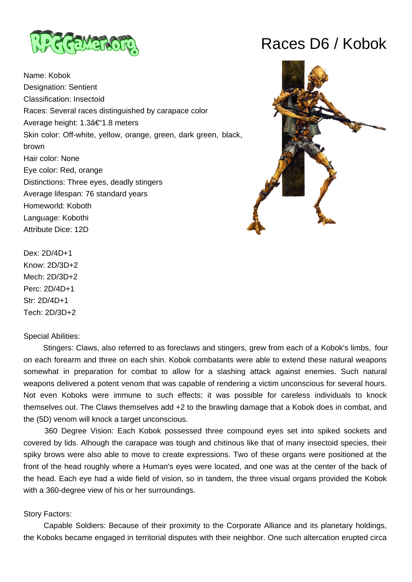

Name: Kobok Designation: Sentient Classification: Insectoid Races: Several races distinguished by carapace color Average height: 1.3–1.8 meters Skin color: Off-white, yellow, orange, green, dark green, black, brown Hair color: None Eye color: Red, orange Distinctions: Three eyes, deadly stingers Average lifespan: 76 standard years Homeworld: Koboth Language: Kobothi Attribute Dice: 12D





Dex: 2D/4D+1 Know: 2D/3D+2 Mech: 2D/3D+2 Perc: 2D/4D+1 Str: 2D/4D+1 Tech: 2D/3D+2

#### Special Abilities:

 Stingers: Claws, also referred to as foreclaws and stingers, grew from each of a Kobok's limbs, four on each forearm and three on each shin. Kobok combatants were able to extend these natural weapons somewhat in preparation for combat to allow for a slashing attack against enemies. Such natural weapons delivered a potent venom that was capable of rendering a victim unconscious for several hours. Not even Koboks were immune to such effects; it was possible for careless individuals to knock themselves out. The Claws themselves add +2 to the brawling damage that a Kobok does in combat, and the (5D) venom will knock a target unconscious.

 360 Degree Vision: Each Kobok possessed three compound eyes set into spiked sockets and covered by lids. Alhough the carapace was tough and chitinous like that of many insectoid species, their spiky brows were also able to move to create expressions. Two of these organs were positioned at the front of the head roughly where a Human's eyes were located, and one was at the center of the back of the head. Each eye had a wide field of vision, so in tandem, the three visual organs provided the Kobok with a 360-degree view of his or her surroundings.

# Story Factors:

 Capable Soldiers: Because of their proximity to the Corporate Alliance and its planetary holdings, the Koboks became engaged in territorial disputes with their neighbor. One such altercation erupted circa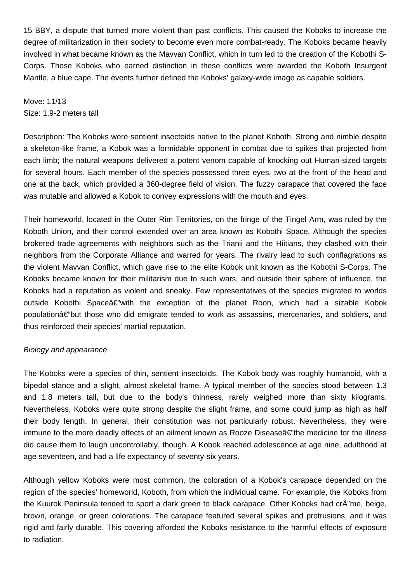15 BBY, a dispute that turned more violent than past conflicts. This caused the Koboks to increase the degree of militarization in their society to become even more combat-ready. The Koboks became heavily involved in what became known as the Mavvan Conflict, which in turn led to the creation of the Kobothi S-Corps. Those Koboks who earned distinction in these conflicts were awarded the Koboth Insurgent Mantle, a blue cape. The events further defined the Koboks' galaxy-wide image as capable soldiers.

Move: 11/13 Size: 1.9-2 meters tall

Description: The Koboks were sentient insectoids native to the planet Koboth. Strong and nimble despite a skeleton-like frame, a Kobok was a formidable opponent in combat due to spikes that projected from each limb; the natural weapons delivered a potent venom capable of knocking out Human-sized targets for several hours. Each member of the species possessed three eyes, two at the front of the head and one at the back, which provided a 360-degree field of vision. The fuzzy carapace that covered the face was mutable and allowed a Kobok to convey expressions with the mouth and eyes.

Their homeworld, located in the Outer Rim Territories, on the fringe of the Tingel Arm, was ruled by the Koboth Union, and their control extended over an area known as Kobothi Space. Although the species brokered trade agreements with neighbors such as the Trianii and the Hiitians, they clashed with their neighbors from the Corporate Alliance and warred for years. The rivalry lead to such conflagrations as the violent Mavvan Conflict, which gave rise to the elite Kobok unit known as the Kobothi S-Corps. The Koboks became known for their militarism due to such wars, and outside their sphere of influence, the Koboks had a reputation as violent and sneaky. Few representatives of the species migrated to worlds outside Kobothi Space $\hat{\alpha} \in \hat{\alpha}$  with the exception of the planet Roon, which had a sizable Kobok population—but those who did emigrate tended to work as assassins, mercenaries, and soldiers, and thus reinforced their species' martial reputation.

# Biology and appearance

The Koboks were a species of thin, sentient insectoids. The Kobok body was roughly humanoid, with a bipedal stance and a slight, almost skeletal frame. A typical member of the species stood between 1.3 and 1.8 meters tall, but due to the body's thinness, rarely weighed more than sixty kilograms. Nevertheless, Koboks were quite strong despite the slight frame, and some could jump as high as half their body length. In general, their constitution was not particularly robust. Nevertheless, they were immune to the more deadly effects of an ailment known as Rooze Disease a ithe medicine for the illness did cause them to laugh uncontrollably, though. A Kobok reached adolescence at age nine, adulthood at age seventeen, and had a life expectancy of seventy-six years.

Although yellow Koboks were most common, the coloration of a Kobok's carapace depended on the region of the species' homeworld, Koboth, from which the individual came. For example, the Koboks from the Kuurok Peninsula tended to sport a dark green to black carapace. Other Koboks had cr me, beige, brown, orange, or green colorations. The carapace featured several spikes and protrusions, and it was rigid and fairly durable. This covering afforded the Koboks resistance to the harmful effects of exposure to radiation.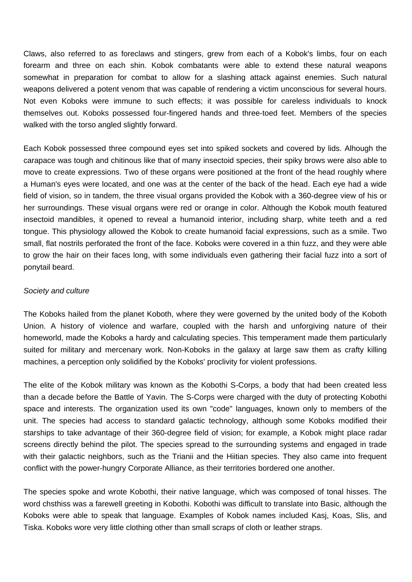Claws, also referred to as foreclaws and stingers, grew from each of a Kobok's limbs, four on each forearm and three on each shin. Kobok combatants were able to extend these natural weapons somewhat in preparation for combat to allow for a slashing attack against enemies. Such natural weapons delivered a potent venom that was capable of rendering a victim unconscious for several hours. Not even Koboks were immune to such effects; it was possible for careless individuals to knock themselves out. Koboks possessed four-fingered hands and three-toed feet. Members of the species walked with the torso angled slightly forward.

Each Kobok possessed three compound eyes set into spiked sockets and covered by lids. Alhough the carapace was tough and chitinous like that of many insectoid species, their spiky brows were also able to move to create expressions. Two of these organs were positioned at the front of the head roughly where a Human's eyes were located, and one was at the center of the back of the head. Each eye had a wide field of vision, so in tandem, the three visual organs provided the Kobok with a 360-degree view of his or her surroundings. These visual organs were red or orange in color. Although the Kobok mouth featured insectoid mandibles, it opened to reveal a humanoid interior, including sharp, white teeth and a red tongue. This physiology allowed the Kobok to create humanoid facial expressions, such as a smile. Two small, flat nostrils perforated the front of the face. Koboks were covered in a thin fuzz, and they were able to grow the hair on their faces long, with some individuals even gathering their facial fuzz into a sort of ponytail beard.

### Society and culture

The Koboks hailed from the planet Koboth, where they were governed by the united body of the Koboth Union. A history of violence and warfare, coupled with the harsh and unforgiving nature of their homeworld, made the Koboks a hardy and calculating species. This temperament made them particularly suited for military and mercenary work. Non-Koboks in the galaxy at large saw them as crafty killing machines, a perception only solidified by the Koboks' proclivity for violent professions.

The elite of the Kobok military was known as the Kobothi S-Corps, a body that had been created less than a decade before the Battle of Yavin. The S-Corps were charged with the duty of protecting Kobothi space and interests. The organization used its own "code" languages, known only to members of the unit. The species had access to standard galactic technology, although some Koboks modified their starships to take advantage of their 360-degree field of vision; for example, a Kobok might place radar screens directly behind the pilot. The species spread to the surrounding systems and engaged in trade with their galactic neighbors, such as the Trianii and the Hiitian species. They also came into frequent conflict with the power-hungry Corporate Alliance, as their territories bordered one another.

The species spoke and wrote Kobothi, their native language, which was composed of tonal hisses. The word chsthiss was a farewell greeting in Kobothi. Kobothi was difficult to translate into Basic, although the Koboks were able to speak that language. Examples of Kobok names included Kasj, Koas, Slis, and Tiska. Koboks wore very little clothing other than small scraps of cloth or leather straps.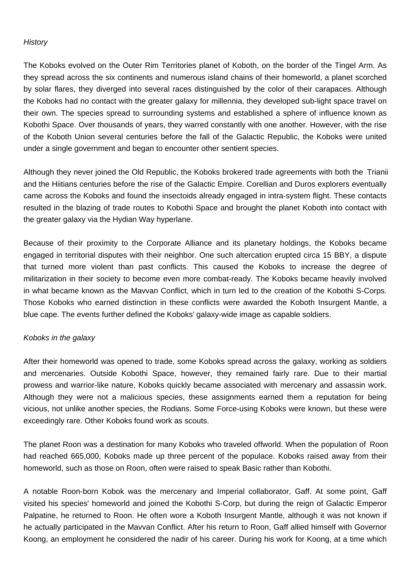# **History**

The Koboks evolved on the Outer Rim Territories planet of Koboth, on the border of the Tingel Arm. As they spread across the six continents and numerous island chains of their homeworld, a planet scorched by solar flares, they diverged into several races distinguished by the color of their carapaces. Although the Koboks had no contact with the greater galaxy for millennia, they developed sub-light space travel on their own. The species spread to surrounding systems and established a sphere of influence known as Kobothi Space. Over thousands of years, they warred constantly with one another. However, with the rise of the Koboth Union several centuries before the fall of the Galactic Republic, the Koboks were united under a single government and began to encounter other sentient species.

Although they never joined the Old Republic, the Koboks brokered trade agreements with both the Trianii and the Hiitians centuries before the rise of the Galactic Empire. Corellian and Duros explorers eventually came across the Koboks and found the insectoids already engaged in intra-system flight. These contacts resulted in the blazing of trade routes to Kobothi Space and brought the planet Koboth into contact with the greater galaxy via the Hydian Way hyperlane.

Because of their proximity to the Corporate Alliance and its planetary holdings, the Koboks became engaged in territorial disputes with their neighbor. One such altercation erupted circa 15 BBY, a dispute that turned more violent than past conflicts. This caused the Koboks to increase the degree of militarization in their society to become even more combat-ready. The Koboks became heavily involved in what became known as the Mavvan Conflict, which in turn led to the creation of the Kobothi S-Corps. Those Koboks who earned distinction in these conflicts were awarded the Koboth Insurgent Mantle, a blue cape. The events further defined the Koboks' galaxy-wide image as capable soldiers.

# Koboks in the galaxy

After their homeworld was opened to trade, some Koboks spread across the galaxy, working as soldiers and mercenaries. Outside Kobothi Space, however, they remained fairly rare. Due to their martial prowess and warrior-like nature, Koboks quickly became associated with mercenary and assassin work. Although they were not a malicious species, these assignments earned them a reputation for being vicious, not unlike another species, the Rodians. Some Force-using Koboks were known, but these were exceedingly rare. Other Koboks found work as scouts.

The planet Roon was a destination for many Koboks who traveled offworld. When the population of Roon had reached 665,000, Koboks made up three percent of the populace. Koboks raised away from their homeworld, such as those on Roon, often were raised to speak Basic rather than Kobothi.

A notable Roon-born Kobok was the mercenary and Imperial collaborator, Gaff. At some point, Gaff visited his species' homeworld and joined the Kobothi S-Corp, but during the reign of Galactic Emperor Palpatine, he returned to Roon. He often wore a Koboth Insurgent Mantle, although it was not known if he actually participated in the Mavvan Conflict. After his return to Roon, Gaff allied himself with Governor Koong, an employment he considered the nadir of his career. During his work for Koong, at a time which